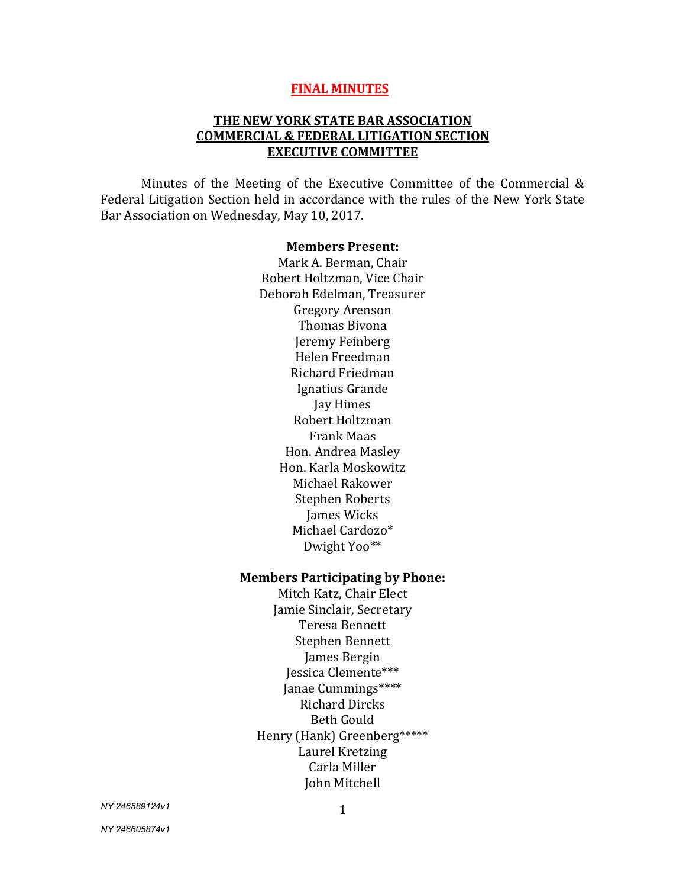#### **FINAL MINUTES**

#### **THE NEW YORK STATE BAR ASSOCIATION COMMERCIAL & FEDERAL LITIGATION SECTION EXECUTIVE COMMITTEE**

Minutes of the Meeting of the Executive Committee of the Commercial & Federal Litigation Section held in accordance with the rules of the New York State Bar Association on Wednesday, May 10, 2017.

#### **Members Present:**

Mark A. Berman, Chair Robert Holtzman, Vice Chair Deborah Edelman, Treasurer Gregory Arenson Thomas Bivona Jeremy Feinberg Helen Freedman Richard Friedman Ignatius Grande Jay Himes Robert Holtzman Frank Maas Hon. Andrea Masley Hon. Karla Moskowitz Michael Rakower Stephen Roberts James Wicks Michael Cardozo\* Dwight Yoo\*\*

#### **Members Participating by Phone:**

Mitch Katz, Chair Elect Jamie Sinclair, Secretary Teresa Bennett Stephen Bennett James Bergin Jessica Clemente\*\*\* Janae Cummings\*\*\*\* Richard Dircks Beth Gould Henry (Hank) Greenberg\*\*\*\*\* Laurel Kretzing Carla Miller John Mitchell

*NY 246589124v1*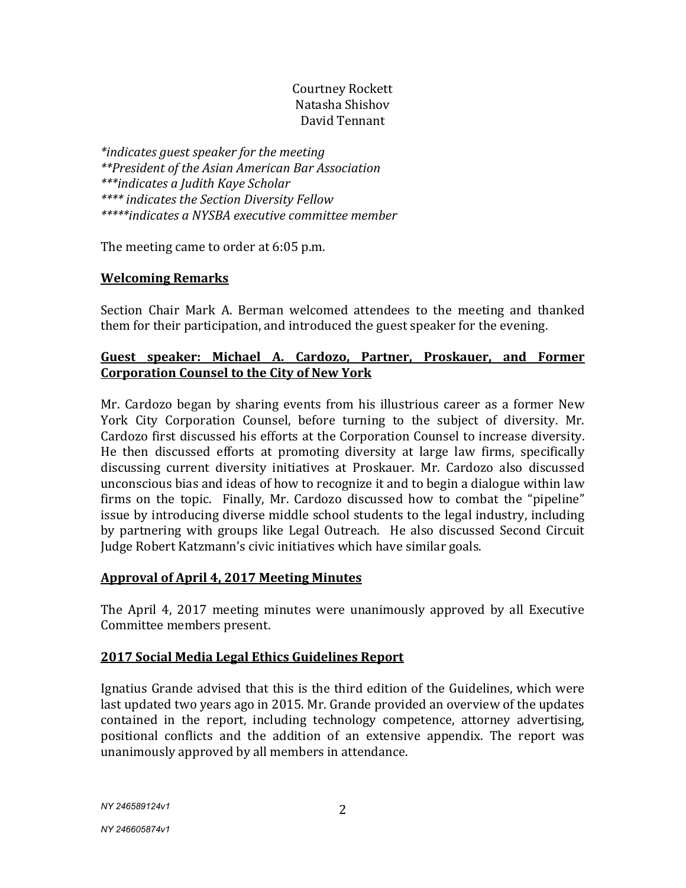## Courtney Rockett Natasha Shishov David Tennant

*\*indicates guest speaker for the meeting \*\*President of the Asian American Bar Association \*\*\*indicates a Judith Kaye Scholar \*\*\*\* indicates the Section Diversity Fellow \*\*\*\*\*indicates a NYSBA executive committee member*

The meeting came to order at 6:05 p.m.

## **Welcoming Remarks**

Section Chair Mark A. Berman welcomed attendees to the meeting and thanked them for their participation, and introduced the guest speaker for the evening.

## **Guest speaker: Michael A. Cardozo, Partner, Proskauer, and Former Corporation Counsel to the City of New York**

Mr. Cardozo began by sharing events from his illustrious career as a former New York City Corporation Counsel, before turning to the subject of diversity. Mr. Cardozo first discussed his efforts at the Corporation Counsel to increase diversity. He then discussed efforts at promoting diversity at large law firms, specifically discussing current diversity initiatives at Proskauer. Mr. Cardozo also discussed unconscious bias and ideas of how to recognize it and to begin a dialogue within law firms on the topic. Finally, Mr. Cardozo discussed how to combat the "pipeline" issue by introducing diverse middle school students to the legal industry, including by partnering with groups like Legal Outreach. He also discussed Second Circuit Judge Robert Katzmann's civic initiatives which have similar goals.

## **Approval of April 4, 2017 Meeting Minutes**

The April 4, 2017 meeting minutes were unanimously approved by all Executive Committee members present.

## **2017 Social Media Legal Ethics Guidelines Report**

Ignatius Grande advised that this is the third edition of the Guidelines, which were last updated two years ago in 2015. Mr. Grande provided an overview of the updates contained in the report, including technology competence, attorney advertising, positional conflicts and the addition of an extensive appendix. The report was unanimously approved by all members in attendance.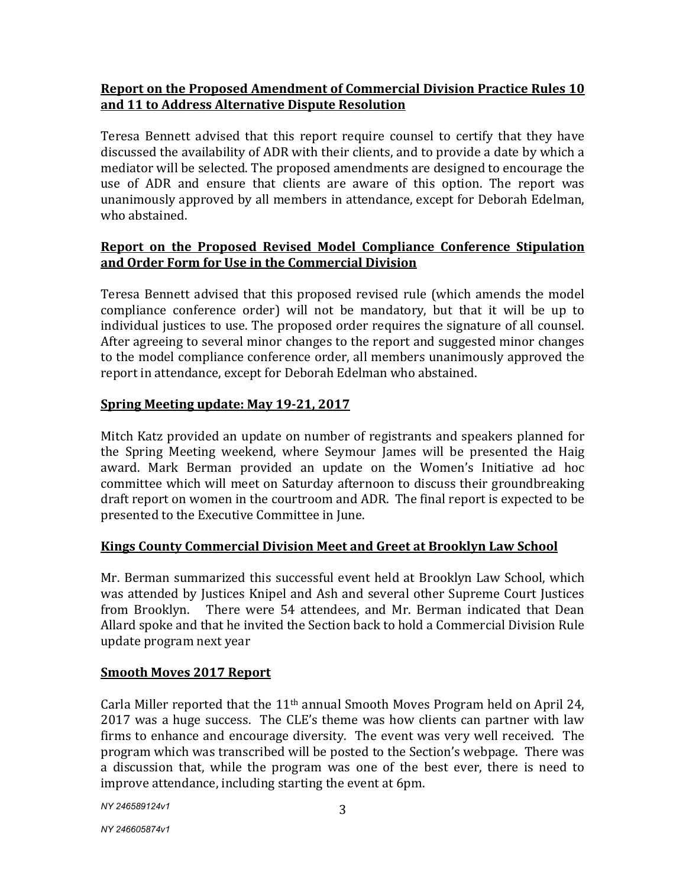## **Report on the Proposed Amendment of Commercial Division Practice Rules 10 and 11 to Address Alternative Dispute Resolution**

Teresa Bennett advised that this report require counsel to certify that they have discussed the availability of ADR with their clients, and to provide a date by which a mediator will be selected. The proposed amendments are designed to encourage the use of ADR and ensure that clients are aware of this option. The report was unanimously approved by all members in attendance, except for Deborah Edelman, who abstained.

# **Report on the Proposed Revised Model Compliance Conference Stipulation and Order Form for Use in the Commercial Division**

Teresa Bennett advised that this proposed revised rule (which amends the model compliance conference order) will not be mandatory, but that it will be up to individual justices to use. The proposed order requires the signature of all counsel. After agreeing to several minor changes to the report and suggested minor changes to the model compliance conference order, all members unanimously approved the report in attendance, except for Deborah Edelman who abstained.

# **Spring Meeting update: May 19-21, 2017**

Mitch Katz provided an update on number of registrants and speakers planned for the Spring Meeting weekend, where Seymour James will be presented the Haig award. Mark Berman provided an update on the Women's Initiative ad hoc committee which will meet on Saturday afternoon to discuss their groundbreaking draft report on women in the courtroom and ADR. The final report is expected to be presented to the Executive Committee in June.

## **Kings County Commercial Division Meet and Greet at Brooklyn Law School**

Mr. Berman summarized this successful event held at Brooklyn Law School, which was attended by Justices Knipel and Ash and several other Supreme Court Justices from Brooklyn. There were 54 attendees, and Mr. Berman indicated that Dean Allard spoke and that he invited the Section back to hold a Commercial Division Rule update program next year

## **Smooth Moves 2017 Report**

Carla Miller reported that the  $11<sup>th</sup>$  annual Smooth Moves Program held on April 24, 2017 was a huge success. The CLE's theme was how clients can partner with law firms to enhance and encourage diversity. The event was very well received. The program which was transcribed will be posted to the Section's webpage. There was a discussion that, while the program was one of the best ever, there is need to improve attendance, including starting the event at 6pm.

*NY 246589124v1*

*NY 246605874v1*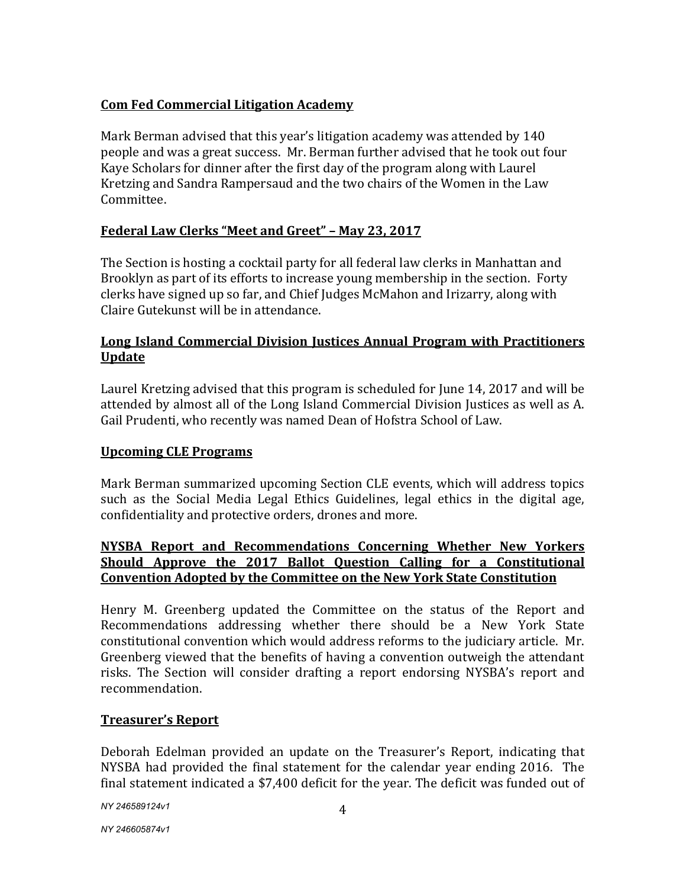## **Com Fed Commercial Litigation Academy**

Mark Berman advised that this year's litigation academy was attended by 140 people and was a great success. Mr. Berman further advised that he took out four Kaye Scholars for dinner after the first day of the program along with Laurel Kretzing and Sandra Rampersaud and the two chairs of the Women in the Law Committee.

# **Federal Law Clerks "Meet and Greet" – May 23, 2017**

The Section is hosting a cocktail party for all federal law clerks in Manhattan and Brooklyn as part of its efforts to increase young membership in the section. Forty clerks have signed up so far, and Chief Judges McMahon and Irizarry, along with Claire Gutekunst will be in attendance.

## **Long Island Commercial Division Justices Annual Program with Practitioners Update**

Laurel Kretzing advised that this program is scheduled for June 14, 2017 and will be attended by almost all of the Long Island Commercial Division Justices as well as A. Gail Prudenti, who recently was named Dean of Hofstra School of Law.

## **Upcoming CLE Programs**

Mark Berman summarized upcoming Section CLE events, which will address topics such as the Social Media Legal Ethics Guidelines, legal ethics in the digital age, confidentiality and protective orders, drones and more.

# **NYSBA Report and Recommendations Concerning Whether New Yorkers Should Approve the 2017 Ballot Question Calling for a Constitutional Convention Adopted by the Committee on the New York State Constitution**

Henry M. Greenberg updated the Committee on the status of the Report and Recommendations addressing whether there should be a New York State constitutional convention which would address reforms to the judiciary article. Mr. Greenberg viewed that the benefits of having a convention outweigh the attendant risks. The Section will consider drafting a report endorsing NYSBA's report and recommendation.

## **Treasurer's Report**

Deborah Edelman provided an update on the Treasurer's Report, indicating that NYSBA had provided the final statement for the calendar year ending 2016. The final statement indicated a \$7,400 deficit for the year. The deficit was funded out of